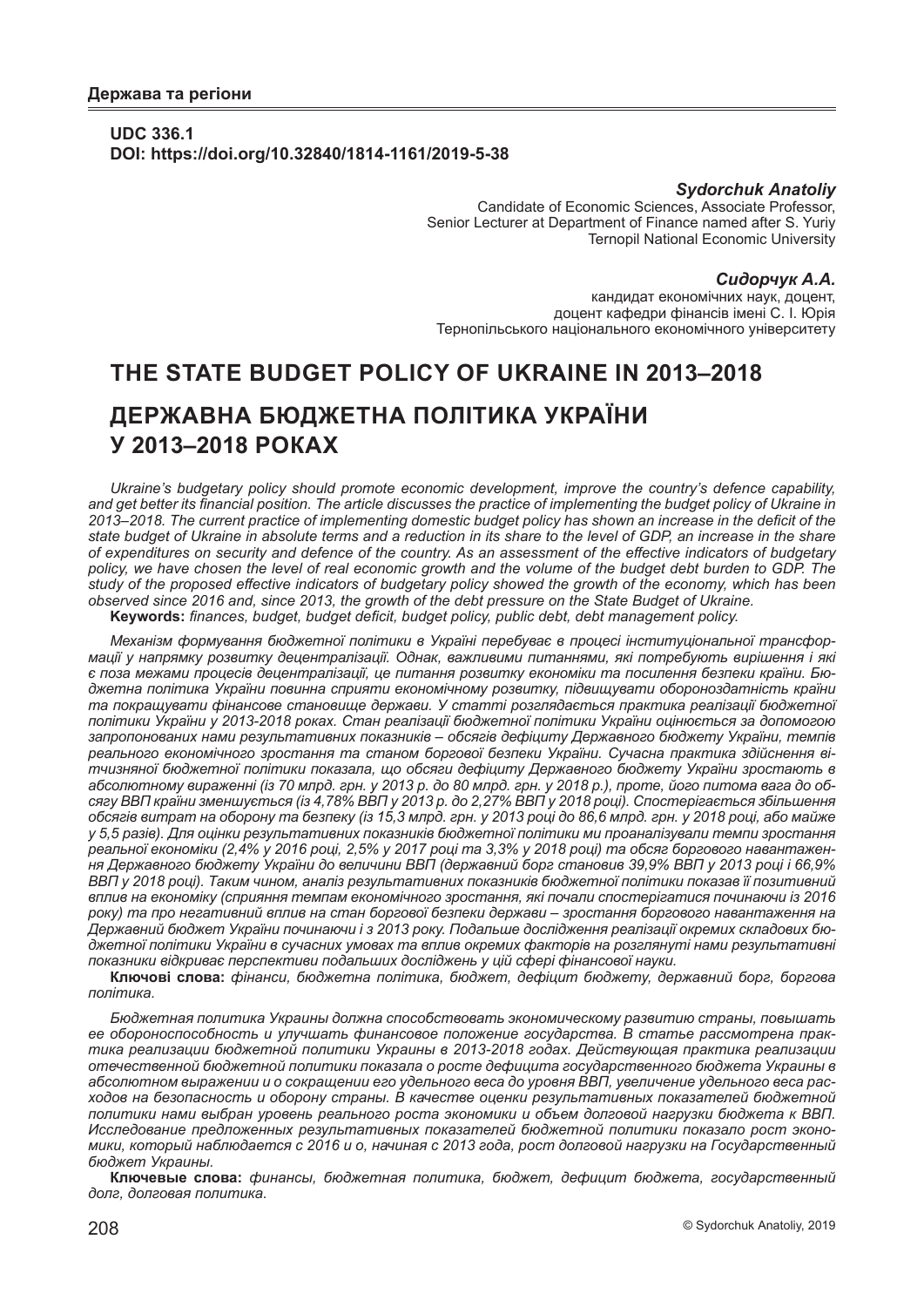## **UDC 336.1 DOI: https://doi.org/10.32840/1814-1161/2019-5-38**

### *Sydorchuk Аnatoliy*

Candidate of Economic Sciences, Associate Professor, Senior Lecturer at Department of Finance named after S. Yuriy Ternopil National Economic University

#### *Сидорчук А.А.*

кандидат економічних наук, доцент, доцент кафедри фінансів імені С. І. Юрія Тернопільського національного економічного університету

# **THE STATE BUDGET POLICY OF UKRAINE IN 2013–2018 ДЕРЖАВНА БЮДЖЕТНА ПОЛІТИКА УКРАЇНИ У 2013–2018 РОКАХ**

*Ukraine's budgetary policy should promote economic development, improve the country's defence capability, and get better its financial position. The article discusses the practice of implementing the budget policy of Ukraine in 2013–2018. The current practice of implementing domestic budget policy has shown an increase in the deficit of the state budget of Ukraine in absolute terms and a reduction in its share to the level of GDP, an increase in the share of expenditures on security and defence of the country. As an assessment of the effective indicators of budgetary*  policy, we have chosen the level of real economic growth and the volume of the budget debt burden to GDP. The *study of the proposed effective indicators of budgetary policy showed the growth of the economy, which has been observed since 2016 and, since 2013, the growth of the debt pressure on the State Budget of Ukraine.*

**Keywords:** *finances, budget, budget deficit, budget policy, public debt, debt management policy.*

*Механізм формування бюджетної політики в Україні перебуває в процесі інституціональної трансформації у напрямку розвитку децентралізації. Однак, важливими питаннями, які потребують вирішення і які є поза межами процесів децентралізації, це питання розвитку економіки та посилення безпеки країни. Бюджетна політика України повинна сприяти економічному розвитку, підвищувати обороноздатність країни та покращувати фінансове становище держави. У статті розглядається практика реалізації бюджетної політики України у 2013-2018 роках. Стан реалізації бюджетної політики України оцінюється за допомогою запропонованих нами результативних показників – обсягів дефіциту Державного бюджету України, темпів реального економічного зростання та станом боргової безпеки України. Сучасна практика здійснення вітчизняної бюджетної політики показала, що обсяги дефіциту Державного бюджету України зростають в абсолютному вираженні (із 70 млрд. грн. у 2013 р. до 80 млрд. грн. у 2018 р.), проте, його питома вага до обсягу ВВП країни зменшується (із 4,78% ВВП у 2013 р. до 2,27% ВВП у 2018 році). Спостерігається збільшення обсягів витрат на оборону та безпеку (із 15,3 млрд. грн. у 2013 році до 86,6 млрд. грн. у 2018 році, або майже у 5,5 разів). Для оцінки результативних показників бюджетної політики ми проаналізували темпи зростання реальної економіки (2,4% у 2016 році, 2,5% у 2017 році та 3,3% у 2018 році) та обсяг боргового навантаження Державного бюджету України до величини ВВП (державний борг становив 39,9% ВВП у 2013 році і 66,9% ВВП у 2018 році). Таким чином, аналіз результативних показників бюджетної політики показав її позитивний вплив на економіку (сприяння темпам економічного зростання, які почали спостерігатися починаючи із 2016 року) та про негативний вплив на стан боргової безпеки держави – зростання боргового навантаження на Державний бюджет України починаючи і з 2013 року. Подальше дослідження реалізації окремих складових бюджетної політики України в сучасних умовах та вплив окремих факторів на розглянуті нами результативні показники відкриває перспективи подальших досліджень у цій сфері фінансової науки.*

**Ключові слова:** *фінанси, бюджетна політика, бюджет, дефіцит бюджету, державний борг, боргова політика.*

*Бюджетная политика Украины должна способствовать экономическому развитию страны, повышать ее обороноспособность и улучшать финансовое положение государства. В статье рассмотрена практика реализации бюджетной политики Украины в 2013-2018 годах. Действующая практика реализации отечественной бюджетной политики показала о росте дефицита государственного бюджета Украины в абсолютном выражении и о сокращении его удельного веса до уровня ВВП, увеличение удельного веса расходов на безопасность и оборону страны. В качестве оценки результативных показателей бюджетной политики нами выбран уровень реального роста экономики и объем долговой нагрузки бюджета к ВВП. Исследование предложенных результативных показателей бюджетной политики показало рост экономики, который наблюдается с 2016 и о, начиная с 2013 года, рост долговой нагрузки на Государственный бюджет Украины.*

**Ключевые слова:** *финансы, бюджетная политика, бюджет, дефицит бюджета, государственный долг, долговая политика.*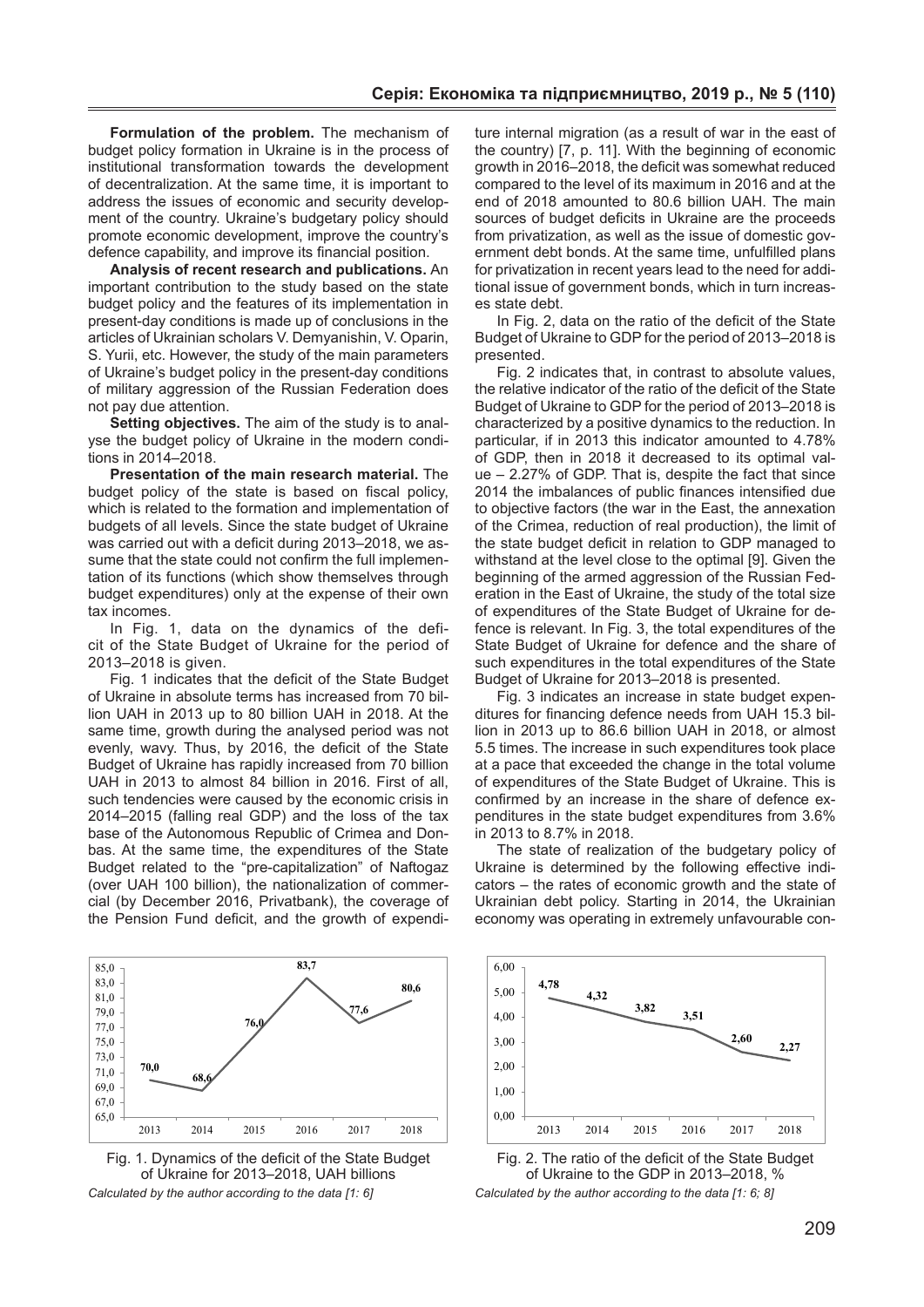**Formulation of the problem.** The mechanism of budget policy formation in Ukraine is in the process of institutional transformation towards the development of decentralization. At the same time, it is important to address the issues of economic and security development of the country. Ukraine's budgetary policy should promote economic development, improve the country's defence capability, and improve its financial position.

**Analysis of recent research and publications.** An important contribution to the study based on the state budget policy and the features of its implementation in present-day conditions is made up of conclusions in the articles of Ukrainian scholars V. Demyanishin, V. Oparin, S. Yurii, etc. However, the study of the main parameters of Ukraine's budget policy in the present-day conditions of military aggression of the Russian Federation does not pay due attention.

**Setting objectives.** The aim of the study is to analyse the budget policy of Ukraine in the modern conditions in 2014–2018.

**Presentation of the main research material.** The budget policy of the state is based on fiscal policy, which is related to the formation and implementation of budgets of all levels. Since the state budget of Ukraine was carried out with a deficit during 2013–2018, we assume that the state could not confirm the full implementation of its functions (which show themselves through budget expenditures) only at the expense of their own tax incomes.

In Fig. 1, data on the dynamics of the deficit of the State Budget of Ukraine for the period of 2013–2018 is given.

Fig. 1 indicates that the deficit of the State Budget of Ukraine in absolute terms has increased from 70 billion UAH in 2013 up to 80 billion UAH in 2018. At the same time, growth during the analysed period was not evenly, wavy. Thus, by 2016, the deficit of the State Budget of Ukraine has rapidly increased from 70 billion UAH in 2013 to almost 84 billion in 2016. First of all, such tendencies were caused by the economic crisis in 2014–2015 (falling real GDP) and the loss of the tax base of the Autonomous Republic of Crimea and Donbas. At the same time, the expenditures of the State Budget related to the "pre-capitalization" of Naftogaz (over UAH 100 billion), the nationalization of commercial (by December 2016, Privatbank), the coverage of the Pension Fund deficit, and the growth of expendi-



Fig. 1. Dynamics of the deficit of the State Budget of Ukraine for 2013–2018, UAH billions *Calculated by the author according to the data [1: 6]*

ture internal migration (as a result of war in the east of the country) [7, p. 11]. With the beginning of economic growth in 2016–2018, the deficit was somewhat reduced compared to the level of its maximum in 2016 and at the end of 2018 amounted to 80.6 billion UAH. The main sources of budget deficits in Ukraine are the proceeds from privatization, as well as the issue of domestic government debt bonds. At the same time, unfulfilled plans for privatization in recent years lead to the need for additional issue of government bonds, which in turn increases state debt.

In Fig. 2, data on the ratio of the deficit of the State Budget of Ukraine to GDP for the period of 2013–2018 is presented.

Fig. 2 indicates that, in contrast to absolute values, the relative indicator of the ratio of the deficit of the State Budget of Ukraine to GDP for the period of 2013–2018 is characterized by a positive dynamics to the reduction. In particular, if in 2013 this indicator amounted to 4.78% of GDP, then in 2018 it decreased to its optimal value – 2.27% of GDP. That is, despite the fact that since 2014 the imbalances of public finances intensified due to objective factors (the war in the East, the annexation of the Crimea, reduction of real production), the limit of the state budget deficit in relation to GDP managed to withstand at the level close to the optimal [9]. Given the beginning of the armed aggression of the Russian Federation in the East of Ukraine, the study of the total size of expenditures of the State Budget of Ukraine for defence is relevant. In Fig. 3, the total expenditures of the State Budget of Ukraine for defence and the share of such expenditures in the total expenditures of the State Budget of Ukraine for 2013–2018 is presented.

Fig. 3 indicates an increase in state budget expenditures for financing defence needs from UAH 15.3 billion in 2013 up to 86.6 billion UAH in 2018, or almost 5.5 times. The increase in such expenditures took place at a pace that exceeded the change in the total volume of expenditures of the State Budget of Ukraine. This is confirmed by an increase in the share of defence expenditures in the state budget expenditures from 3.6% in 2013 to 8.7% in 2018.

The state of realization of the budgetary policy of Ukraine is determined by the following effective indicators – the rates of economic growth and the state of Ukrainian debt policy. Starting in 2014, the Ukrainian economy was operating in extremely unfavourable con-



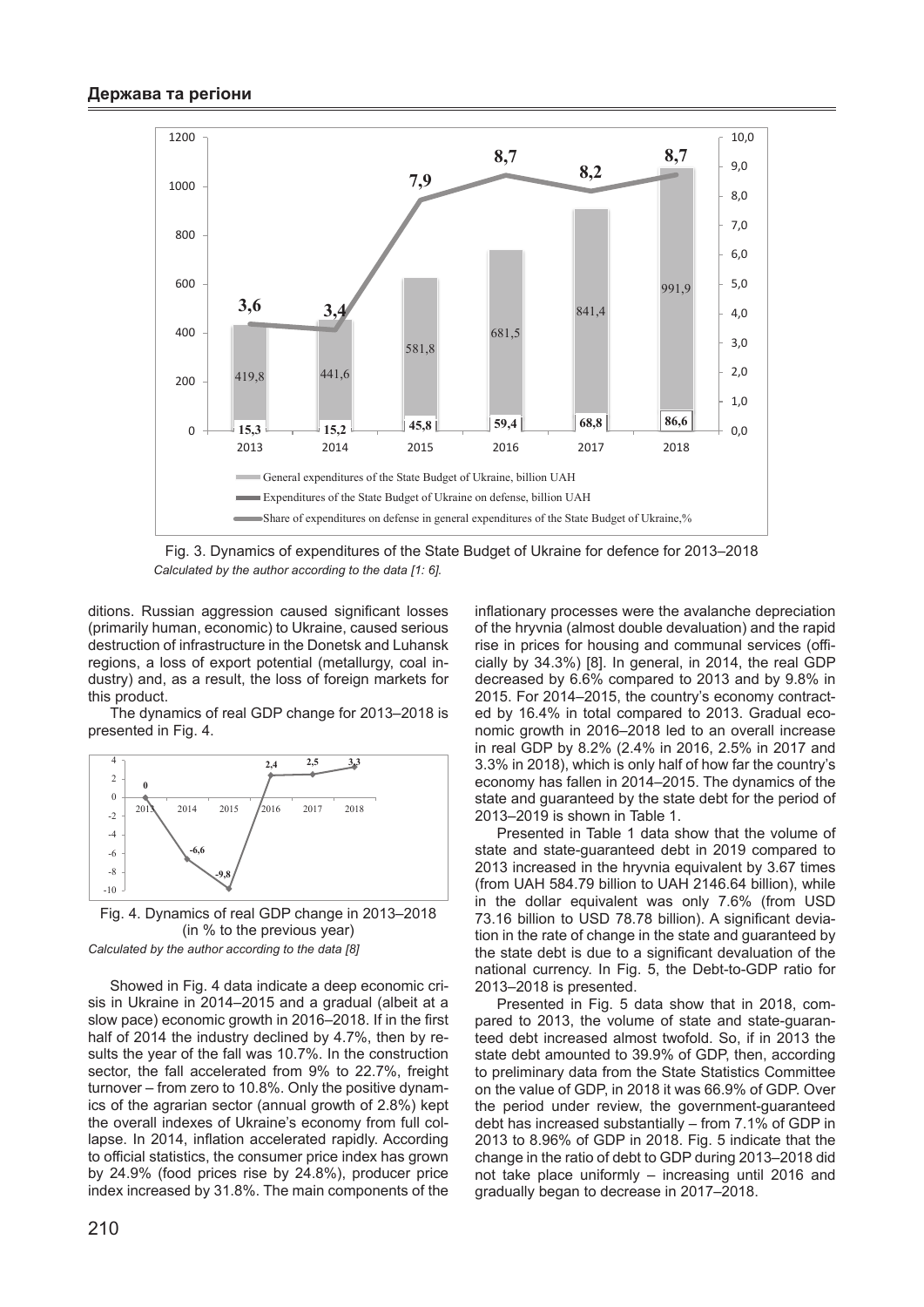

Fig. 3. Dynamics of expenditures of the State Budget of Ukraine for defence for 2013–2018 *Calculated by the author according to the data [1: 6].*

ditions. Russian aggression caused significant losses (primarily human, economic) to Ukraine, caused serious destruction of infrastructure in the Donetsk and Luhansk regions, a loss of export potential (metallurgy, coal industry) and, as a result, the loss of foreign markets for this product.

The dynamics of real GDP change for 2013–2018 is presented in Fig. 4.



Fig. 4. Dynamics of real GDP change in 2013–2018 (in % to the previous year) *Calculated by the author according to the data [8]*

Showed in Fig. 4 data indicate a deep economic crisis in Ukraine in 2014–2015 and a gradual (albeit at a slow pace) economic growth in 2016–2018. If in the first half of 2014 the industry declined by 4.7%, then by results the year of the fall was 10.7%. In the construction sector, the fall accelerated from 9% to 22.7%, freight turnover – from zero to 10.8%. Only the positive dynamics of the agrarian sector (annual growth of 2.8%) kept the overall indexes of Ukraine's economy from full collapse. In 2014, inflation accelerated rapidly. According to official statistics, the consumer price index has grown by 24.9% (food prices rise by 24.8%), producer price index increased by 31.8%. The main components of the

inflationary processes were the avalanche depreciation of the hryvnia (almost double devaluation) and the rapid rise in prices for housing and communal services (officially by 34.3%) [8]. In general, in 2014, the real GDP decreased by 6.6% compared to 2013 and by 9.8% in 2015. For 2014–2015, the country's economy contracted by 16.4% in total compared to 2013. Gradual economic growth in 2016–2018 led to an overall increase in real GDP by 8.2% (2.4% in 2016, 2.5% in 2017 and 3.3% in 2018), which is only half of how far the country's economy has fallen in 2014–2015. The dynamics of the state and guaranteed by the state debt for the period of 2013–2019 is shown in Table 1.

Presented in Table 1 data show that the volume of state and state-guaranteed debt in 2019 compared to 2013 increased in the hryvnia equivalent by 3.67 times (from UAH 584.79 billion to UAH 2146.64 billion), while in the dollar equivalent was only 7.6% (from USD 73.16 billion to USD 78.78 billion). A significant deviation in the rate of change in the state and guaranteed by the state debt is due to a significant devaluation of the national currency. In Fig. 5, the Debt-to-GDP ratio for 2013–2018 is presented.

Presented in Fig. 5 data show that in 2018, compared to 2013, the volume of state and state-guaranteed debt increased almost twofold. So, if in 2013 the state debt amounted to 39.9% of GDP, then, according to preliminary data from the State Statistics Committee on the value of GDP, in 2018 it was 66.9% of GDP. Over the period under review, the government-guaranteed debt has increased substantially – from 7.1% of GDP in 2013 to 8.96% of GDP in 2018. Fig. 5 indicate that the change in the ratio of debt to GDP during 2013–2018 did not take place uniformly – increasing until 2016 and gradually began to decrease in 2017–2018.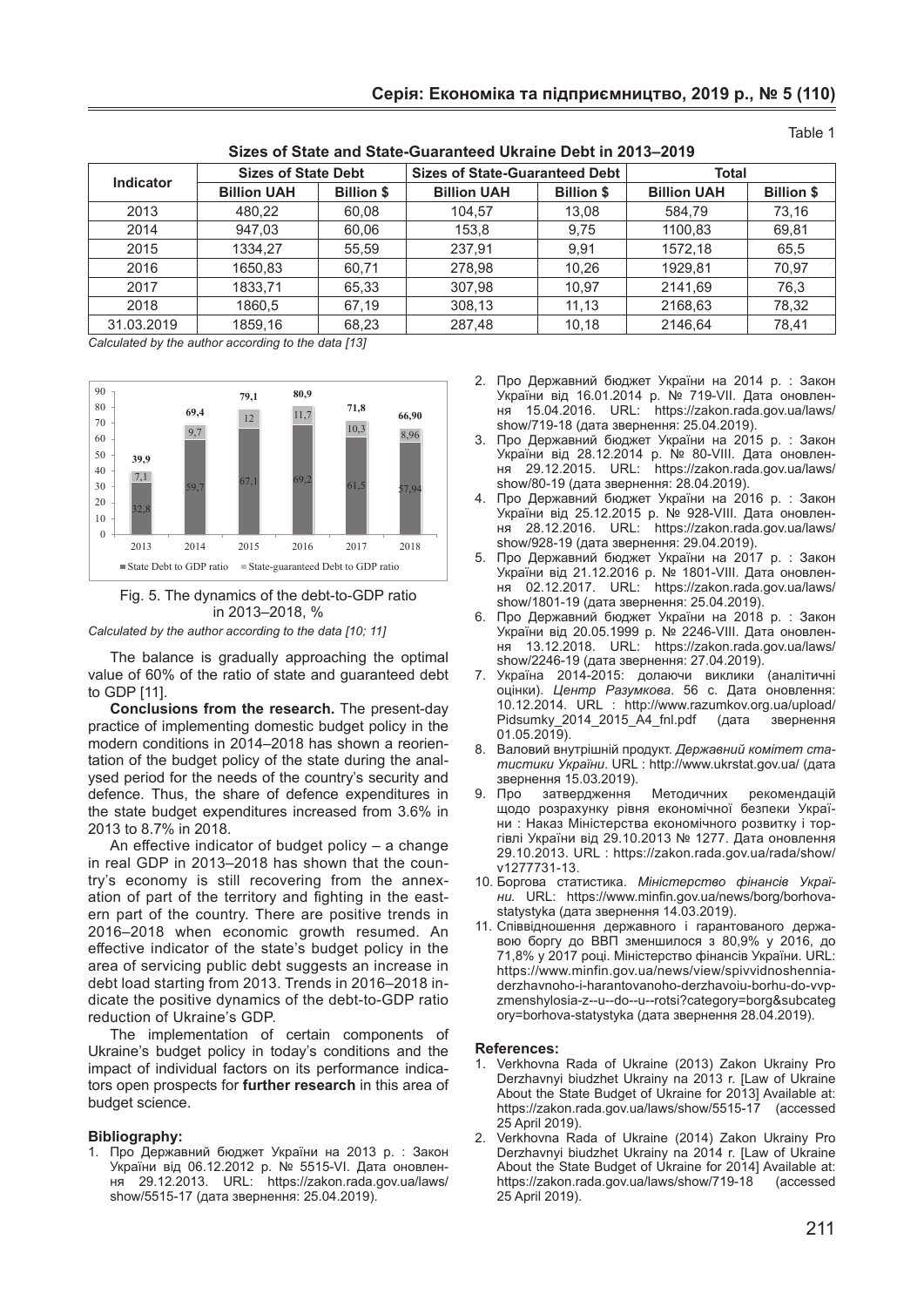| <b>Indicator</b> | <b>Sizes of State Debt</b> |                   | <b>Sizes of State-Guaranteed Debt</b> |                   | <b>Total</b>       |                   |
|------------------|----------------------------|-------------------|---------------------------------------|-------------------|--------------------|-------------------|
|                  | <b>Billion UAH</b>         | <b>Billion \$</b> | <b>Billion UAH</b>                    | <b>Billion \$</b> | <b>Billion UAH</b> | <b>Billion \$</b> |
| 2013             | 480,22                     | 60,08             | 104,57                                | 13,08             | 584,79             | 73,16             |
| 2014             | 947.03                     | 60,06             | 153.8                                 | 9.75              | 1100.83            | 69,81             |
| 2015             | 1334.27                    | 55.59             | 237.91                                | 9.91              | 1572.18            | 65.5              |
| 2016             | 1650,83                    | 60,71             | 278,98                                | 10,26             | 1929.81            | 70,97             |
| 2017             | 1833,71                    | 65,33             | 307.98                                | 10.97             | 2141,69            | 76,3              |
| 2018             | 1860.5                     | 67.19             | 308.13                                | 11.13             | 2168,63            | 78.32             |
| 31.03.2019       | 1859.16                    | 68,23             | 287,48                                | 10.18             | 2146.64            | 78,41             |

#### **Sizes of State and State-Guaranteed Ukraine Debt in 2013–2019**

*Calculated by the author according to the data [13]*



## Fig. 5. The dynamics of the debt-to-GDP ratio in 2013–2018, %

*Calculated by the author according to the data [10; 11]*

The balance is gradually approaching the optimal value of 60% of the ratio of state and guaranteed debt to GDP [11].

**Conclusions from the research.** The present-day practice of implementing domestic budget policy in the modern conditions in 2014–2018 has shown a reorientation of the budget policy of the state during the analysed period for the needs of the country's security and defence. Thus, the share of defence expenditures in the state budget expenditures increased from 3.6% in 2013 to 8.7% in 2018.

An effective indicator of budget policy – a change in real GDP in 2013–2018 has shown that the country's economy is still recovering from the annexation of part of the territory and fighting in the eastern part of the country. There are positive trends in 2016–2018 when economic growth resumed. An effective indicator of the state's budget policy in the area of servicing public debt suggests an increase in debt load starting from 2013. Trends in 2016–2018 indicate the positive dynamics of the debt-to-GDP ratio reduction of Ukraine's GDP.

The implementation of certain components of Ukraine's budget policy in today's conditions and the impact of individual factors on its performance indicators open prospects for **further research** in this area of budget science.

#### **Bibliography:**

1. Про Державний бюджет України на 2013 р. : Закон України від 06.12.2012 р. № 5515-VI. Дата оновлення 29.12.2013. URL: https://zakon.rada.gov.ua/laws/ show/5515-17 (дата звернення: 25.04.2019).

2. Про Державний бюджет України на 2014 р. : Закон України від 16.01.2014 р. № 719-VII. Дата оновлення 15.04.2016. URL: https://zakon.rada.gov.ua/laws/ show/719-18 (дата звернення: 25.04.2019).

Table 1

- 3. Про Державний бюджет України на 2015 р. : Закон України від 28.12.2014 р. № 80-VIII. Дата оновлення 29.12.2015. URL: https://zakon.rada.gov.ua/laws/ show/80-19 (дата звернення: 28.04.2019).
- 4. Про Державний бюджет України на 2016 р. : Закон України від 25.12.2015 р. № 928-VIII. Дата оновлення 28.12.2016. URL: https://zakon.rada.gov.ua/laws/ show/928-19 (дата звернення: 29.04.2019).
- 5. Про Державний бюджет України на 2017 р. : Закон України від 21.12.2016 р. № 1801-VIII. Дата оновлення 02.12.2017. URL: https://zakon.rada.gov.ua/laws/ show/1801-19 (дата звернення: 25.04.2019).
- 6. Про Державний бюджет України на 2018 р. : Закон України від 20.05.1999 р. № 2246-VIII. Дата оновлення 13.12.2018. URL: https://zakon.rada.gov.ua/laws/ show/2246-19 (дата звернення: 27.04.2019).
- 7. Україна 2014-2015: долаючи виклики (аналітичні оцінки). *Центр Разумкова*. 56 с. Дата оновлення: 10.12.2014. URL : http://www.razumkov.org.ua/upload/ Pidsumky\_2014\_2015\_A4\_fnl.pdf (дата звернення 01.05.2019).
- 8. Валовий внутрішній продукт. *Державний комітет статистики України*. URL : http://www.ukrstat.gov.ua/ (дата звернення 15.03.2019).<br>9 Про затверлження
- затвердження Методичних рекомендацій щодо розрахунку рівня економічної безпеки України : Наказ Міністерства економічного розвитку і торгівлі України від 29.10.2013 № 1277. Дата оновлення 29.10.2013. URL : https://zakon.rada.gov.ua/rada/show/ v1277731-13.
- 10. Боргова статистика. *Міністерство фінансів України.* URL: https://www.minfin.gov.ua/news/borg/borhovastatystyka (дата звернення 14.03.2019).
- 11. Співвідношення державного і гарантованого державою боргу до ВВП зменшилося з 80,9% у 2016, до 71,8% у 2017 році. Міністерство фінансів України. URL: https://www.minfin.gov.ua/news/view/spivvidnoshenniaderzhavnoho-i-harantovanoho-derzhavoiu-borhu-do-vvpzmenshylosia-z--u--do--u--rotsi?category=borg&subcateg ory=borhova-statystyka (дата звернення 28.04.2019).

#### **References:**

- 1. Verkhovna Rada of Ukraine (2013) Zakon Ukrainy Pro Derzhavnyi biudzhet Ukrainy na 2013 r. [Law of Ukraine About the State Budget of Ukraine for 2013] Available at: https://zakon.rada.gov.ua/laws/show/5515-17 (accessed 25 April 2019).
- 2. Verkhovna Rada of Ukraine (2014) Zakon Ukrainy Pro Derzhavnyi biudzhet Ukrainy na 2014 r. [Law of Ukraine About the State Budget of Ukraine for 2014] Available at: https://zakon.rada.gov.ua/laws/show/719-18 (accessed 25 April 2019).